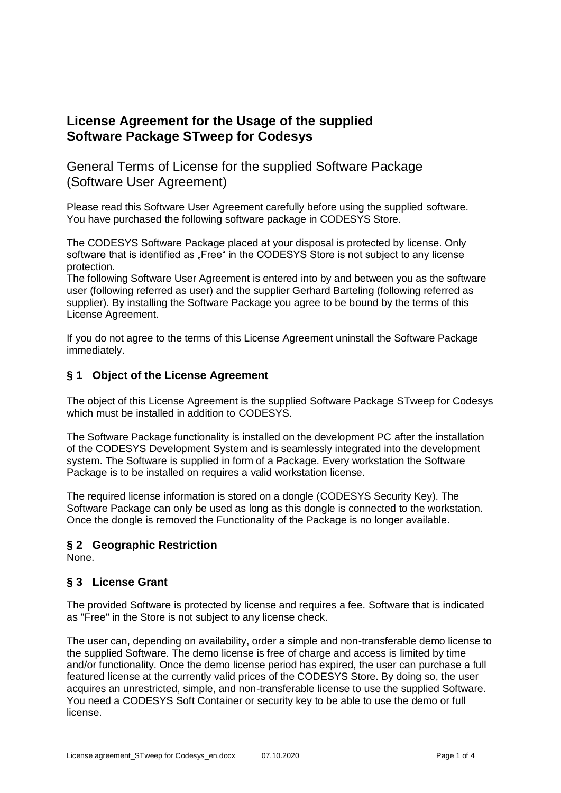# **License Agreement for the Usage of the supplied Software Package STweep for Codesys**

# General Terms of License for the supplied Software Package (Software User Agreement)

Please read this Software User Agreement carefully before using the supplied software. You have purchased the following software package in CODESYS Store.

The CODESYS Software Package placed at your disposal is protected by license. Only software that is identified as "Free" in the CODESYS Store is not subject to any license protection.

The following Software User Agreement is entered into by and between you as the software user (following referred as user) and the supplier Gerhard Barteling (following referred as supplier). By installing the Software Package you agree to be bound by the terms of this License Agreement.

If you do not agree to the terms of this License Agreement uninstall the Software Package immediately.

### **§ 1 Object of the License Agreement**

The object of this License Agreement is the supplied Software Package STweep for Codesys which must be installed in addition to CODESYS.

The Software Package functionality is installed on the development PC after the installation of the CODESYS Development System and is seamlessly integrated into the development system. The Software is supplied in form of a Package. Every workstation the Software Package is to be installed on requires a valid workstation license.

The required license information is stored on a dongle (CODESYS Security Key). The Software Package can only be used as long as this dongle is connected to the workstation. Once the dongle is removed the Functionality of the Package is no longer available.

#### **§ 2 Geographic Restriction**

None.

#### **§ 3 License Grant**

The provided Software is protected by license and requires a fee. Software that is indicated as "Free" in the Store is not subject to any license check.

The user can, depending on availability, order a simple and non-transferable demo license to the supplied Software. The demo license is free of charge and access is limited by time and/or functionality. Once the demo license period has expired, the user can purchase a full featured license at the currently valid prices of the CODESYS Store. By doing so, the user acquires an unrestricted, simple, and non-transferable license to use the supplied Software. You need a CODESYS Soft Container or security key to be able to use the demo or full license.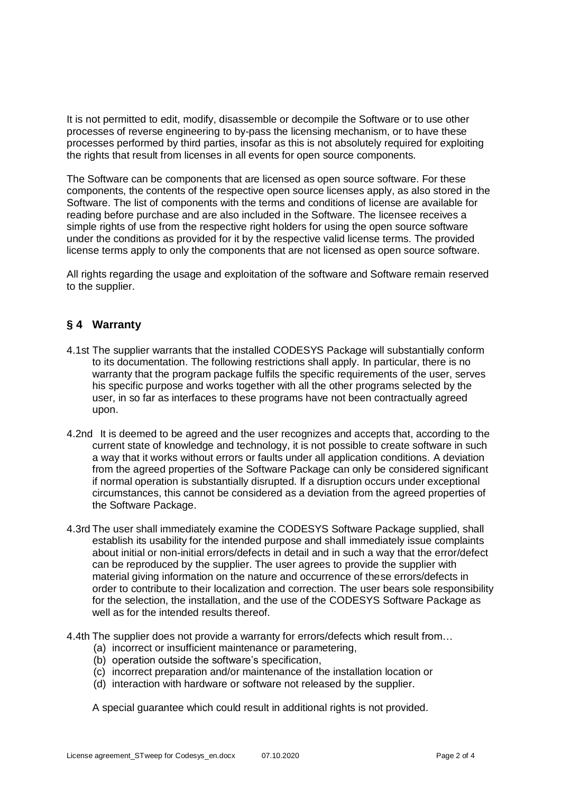It is not permitted to edit, modify, disassemble or decompile the Software or to use other processes of reverse engineering to by-pass the licensing mechanism, or to have these processes performed by third parties, insofar as this is not absolutely required for exploiting the rights that result from licenses in all events for open source components.

The Software can be components that are licensed as open source software. For these components, the contents of the respective open source licenses apply, as also stored in the Software. The list of components with the terms and conditions of license are available for reading before purchase and are also included in the Software. The licensee receives a simple rights of use from the respective right holders for using the open source software under the conditions as provided for it by the respective valid license terms. The provided license terms apply to only the components that are not licensed as open source software.

All rights regarding the usage and exploitation of the software and Software remain reserved to the supplier.

### **§ 4 Warranty**

- 4.1st The supplier warrants that the installed CODESYS Package will substantially conform to its documentation. The following restrictions shall apply. In particular, there is no warranty that the program package fulfils the specific requirements of the user, serves his specific purpose and works together with all the other programs selected by the user, in so far as interfaces to these programs have not been contractually agreed upon.
- 4.2nd It is deemed to be agreed and the user recognizes and accepts that, according to the current state of knowledge and technology, it is not possible to create software in such a way that it works without errors or faults under all application conditions. A deviation from the agreed properties of the Software Package can only be considered significant if normal operation is substantially disrupted. If a disruption occurs under exceptional circumstances, this cannot be considered as a deviation from the agreed properties of the Software Package.
- 4.3rd The user shall immediately examine the CODESYS Software Package supplied, shall establish its usability for the intended purpose and shall immediately issue complaints about initial or non-initial errors/defects in detail and in such a way that the error/defect can be reproduced by the supplier. The user agrees to provide the supplier with material giving information on the nature and occurrence of these errors/defects in order to contribute to their localization and correction. The user bears sole responsibility for the selection, the installation, and the use of the CODESYS Software Package as well as for the intended results thereof.
- 4.4th The supplier does not provide a warranty for errors/defects which result from…
	- (a) incorrect or insufficient maintenance or parametering,
	- (b) operation outside the software's specification,
	- (c) incorrect preparation and/or maintenance of the installation location or
	- (d) interaction with hardware or software not released by the supplier.

A special guarantee which could result in additional rights is not provided.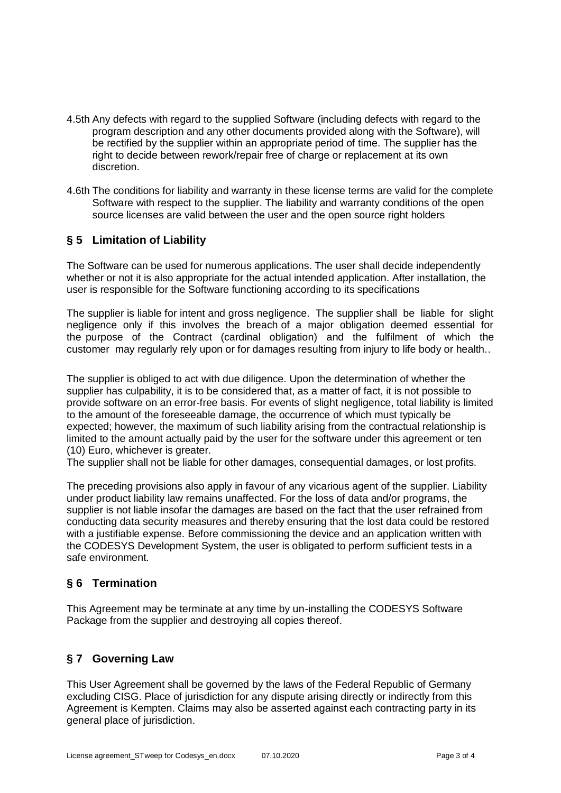- 4.5th Any defects with regard to the supplied Software (including defects with regard to the program description and any other documents provided along with the Software), will be rectified by the supplier within an appropriate period of time. The supplier has the right to decide between rework/repair free of charge or replacement at its own discretion.
- 4.6th The conditions for liability and warranty in these license terms are valid for the complete Software with respect to the supplier. The liability and warranty conditions of the open source licenses are valid between the user and the open source right holders

## **§ 5 Limitation of Liability**

The Software can be used for numerous applications. The user shall decide independently whether or not it is also appropriate for the actual intended application. After installation, the user is responsible for the Software functioning according to its specifications

The supplier is liable for intent and gross negligence. The supplier shall be liable for slight negligence only if this involves the breach of a major obligation deemed essential for the purpose of the Contract (cardinal obligation) and the fulfilment of which the customer may regularly rely upon or for damages resulting from injury to life body or health..

The supplier is obliged to act with due diligence. Upon the determination of whether the supplier has culpability, it is to be considered that, as a matter of fact, it is not possible to provide software on an error-free basis. For events of slight negligence, total liability is limited to the amount of the foreseeable damage, the occurrence of which must typically be expected; however, the maximum of such liability arising from the contractual relationship is limited to the amount actually paid by the user for the software under this agreement or ten (10) Euro, whichever is greater.

The supplier shall not be liable for other damages, consequential damages, or lost profits.

The preceding provisions also apply in favour of any vicarious agent of the supplier. Liability under product liability law remains unaffected. For the loss of data and/or programs, the supplier is not liable insofar the damages are based on the fact that the user refrained from conducting data security measures and thereby ensuring that the lost data could be restored with a justifiable expense. Before commissioning the device and an application written with the CODESYS Development System, the user is obligated to perform sufficient tests in a safe environment.

## **§ 6 Termination**

This Agreement may be terminate at any time by un-installing the CODESYS Software Package from the supplier and destroying all copies thereof.

## **§ 7 Governing Law**

This User Agreement shall be governed by the laws of the Federal Republic of Germany excluding CISG. Place of jurisdiction for any dispute arising directly or indirectly from this Agreement is Kempten. Claims may also be asserted against each contracting party in its general place of jurisdiction.